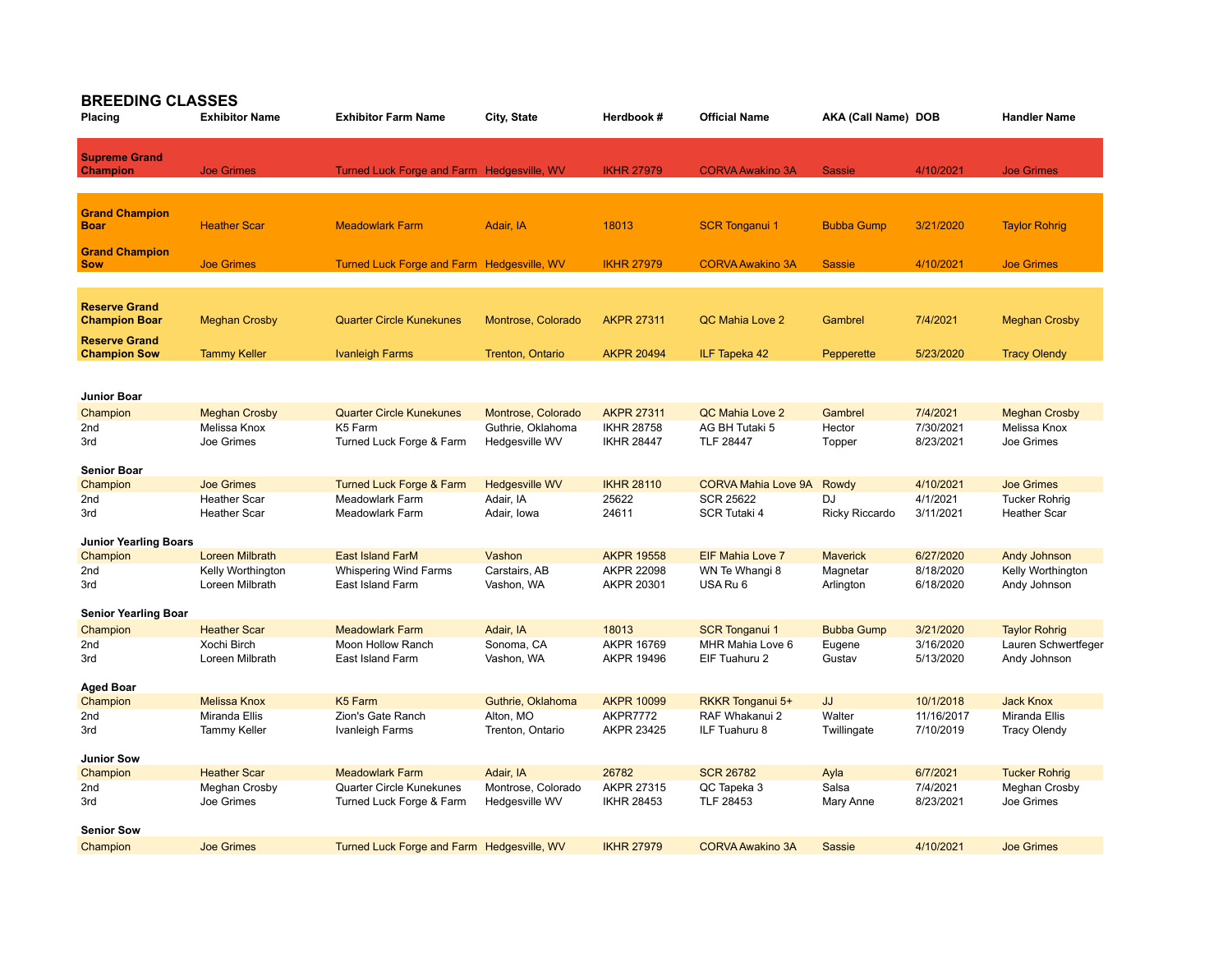## **BREEDING CLASSES**

| Placing                                      | <b>Exhibitor Name</b>  | <b>Exhibitor Farm Name</b>                 | City, State           | Herdbook #        | <b>Official Name</b>       | AKA (Call Name) DOB |            | <b>Handler Name</b>  |
|----------------------------------------------|------------------------|--------------------------------------------|-----------------------|-------------------|----------------------------|---------------------|------------|----------------------|
| <b>Supreme Grand</b><br><b>Champion</b>      | <b>Joe Grimes</b>      | Turned Luck Forge and Farm Hedgesville, WV |                       | <b>IKHR 27979</b> | <b>CORVA Awakino 3A</b>    | <b>Sassie</b>       | 4/10/2021  | <b>Joe Grimes</b>    |
| <b>Grand Champion</b><br><b>Boar</b>         | <b>Heather Scar</b>    | <b>Meadowlark Farm</b>                     | Adair, IA             | 18013             | <b>SCR Tonganui 1</b>      | <b>Bubba Gump</b>   | 3/21/2020  | <b>Taylor Rohrig</b> |
| <b>Grand Champion</b><br><b>Sow</b>          | <b>Joe Grimes</b>      | Turned Luck Forge and Farm Hedgesville, WV |                       | <b>IKHR 27979</b> | <b>CORVA Awakino 3A</b>    | <b>Sassie</b>       | 4/10/2021  | <b>Joe Grimes</b>    |
|                                              |                        |                                            |                       |                   |                            |                     |            |                      |
| <b>Reserve Grand</b><br><b>Champion Boar</b> | <b>Meghan Crosby</b>   | <b>Quarter Circle Kunekunes</b>            | Montrose, Colorado    | <b>AKPR 27311</b> | QC Mahia Love 2            | Gambrel             | 7/4/2021   | <b>Meghan Crosby</b> |
| <b>Reserve Grand</b><br><b>Champion Sow</b>  | <b>Tammy Keller</b>    | <b>Ivanleigh Farms</b>                     | Trenton, Ontario      | <b>AKPR 20494</b> | ILF Tapeka 42              | Pepperette          | 5/23/2020  | <b>Tracy Olendy</b>  |
|                                              |                        |                                            |                       |                   |                            |                     |            |                      |
| Junior Boar                                  |                        |                                            |                       |                   |                            |                     |            |                      |
| Champion                                     | <b>Meghan Crosby</b>   | <b>Quarter Circle Kunekunes</b>            | Montrose, Colorado    | <b>AKPR 27311</b> | QC Mahia Love 2            | Gambrel             | 7/4/2021   | <b>Meghan Crosby</b> |
| 2 <sub>nd</sub>                              | Melissa Knox           | K <sub>5</sub> Farm                        | Guthrie, Oklahoma     | <b>IKHR 28758</b> | AG BH Tutaki 5             | Hector              | 7/30/2021  | Melissa Knox         |
| 3rd                                          | Joe Grimes             | Turned Luck Forge & Farm                   | Hedgesville WV        | <b>IKHR 28447</b> | <b>TLF 28447</b>           | Topper              | 8/23/2021  | Joe Grimes           |
| <b>Senior Boar</b>                           |                        |                                            |                       |                   |                            |                     |            |                      |
| Champion                                     | <b>Joe Grimes</b>      | <b>Turned Luck Forge &amp; Farm</b>        | <b>Hedgesville WV</b> | <b>IKHR 28110</b> | <b>CORVA Mahia Love 9A</b> | Rowdy               | 4/10/2021  | <b>Joe Grimes</b>    |
| 2nd                                          | <b>Heather Scar</b>    | Meadowlark Farm                            | Adair, IA             | 25622             | <b>SCR 25622</b>           | DJ                  | 4/1/2021   | <b>Tucker Rohrig</b> |
| 3rd                                          | <b>Heather Scar</b>    | <b>Meadowlark Farm</b>                     | Adair, Iowa           | 24611             | SCR Tutaki 4               | Ricky Riccardo      | 3/11/2021  | <b>Heather Scar</b>  |
| <b>Junior Yearling Boars</b>                 |                        |                                            |                       |                   |                            |                     |            |                      |
| Champion                                     | <b>Loreen Milbrath</b> | <b>East Island FarM</b>                    | Vashon                | <b>AKPR 19558</b> | EIF Mahia Love 7           | <b>Maverick</b>     | 6/27/2020  | Andy Johnson         |
| 2nd                                          | Kelly Worthington      | <b>Whispering Wind Farms</b>               | Carstairs, AB         | <b>AKPR 22098</b> | WN Te Whangi 8             | Magnetar            | 8/18/2020  | Kelly Worthington    |
| 3rd                                          | Loreen Milbrath        | East Island Farm                           | Vashon, WA            | AKPR 20301        | USA Ru 6                   | Arlington           | 6/18/2020  | Andy Johnson         |
| <b>Senior Yearling Boar</b>                  |                        |                                            |                       |                   |                            |                     |            |                      |
| Champion                                     | <b>Heather Scar</b>    | <b>Meadowlark Farm</b>                     | Adair, IA             | 18013             | <b>SCR Tonganui 1</b>      | <b>Bubba Gump</b>   | 3/21/2020  | <b>Taylor Rohrig</b> |
| 2 <sub>nd</sub>                              | Xochi Birch            | Moon Hollow Ranch                          | Sonoma, CA            | <b>AKPR 16769</b> | MHR Mahia Love 6           | Eugene              | 3/16/2020  | Lauren Schwertfeger  |
| 3rd                                          | Loreen Milbrath        | East Island Farm                           | Vashon, WA            | <b>AKPR 19496</b> | EIF Tuahuru 2              | Gustav              | 5/13/2020  | Andy Johnson         |
| <b>Aged Boar</b>                             |                        |                                            |                       |                   |                            |                     |            |                      |
| Champion                                     | <b>Melissa Knox</b>    | K <sub>5</sub> Farm                        | Guthrie, Oklahoma     | <b>AKPR 10099</b> | RKKR Tonganui 5+           | JJ                  | 10/1/2018  | <b>Jack Knox</b>     |
| 2nd                                          | Miranda Ellis          | Zion's Gate Ranch                          | Alton, MO             | AKPR7772          | RAF Whakanui 2             | Walter              | 11/16/2017 | Miranda Ellis        |
| 3rd                                          | <b>Tammy Keller</b>    | Ivanleigh Farms                            | Trenton, Ontario      | AKPR 23425        | ILF Tuahuru 8              | Twillingate         | 7/10/2019  | <b>Tracy Olendy</b>  |
| <b>Junior Sow</b>                            |                        |                                            |                       |                   |                            |                     |            |                      |
| Champion                                     | <b>Heather Scar</b>    | <b>Meadowlark Farm</b>                     | Adair, IA             | 26782             | <b>SCR 26782</b>           | Ayla                | 6/7/2021   | <b>Tucker Rohrig</b> |
| 2nd                                          | Meghan Crosby          | Quarter Circle Kunekunes                   | Montrose, Colorado    | AKPR 27315        | QC Tapeka 3                | Salsa               | 7/4/2021   | Meghan Crosby        |
| 3rd                                          | Joe Grimes             | Turned Luck Forge & Farm                   | Hedgesville WV        | <b>IKHR 28453</b> | TLF 28453                  | Mary Anne           | 8/23/2021  | Joe Grimes           |
| <b>Senior Sow</b>                            |                        |                                            |                       |                   |                            |                     |            |                      |
| Champion                                     | <b>Joe Grimes</b>      | Turned Luck Forge and Farm Hedgesville, WV |                       | <b>IKHR 27979</b> | <b>CORVA Awakino 3A</b>    | Sassie              | 4/10/2021  | <b>Joe Grimes</b>    |
|                                              |                        |                                            |                       |                   |                            |                     |            |                      |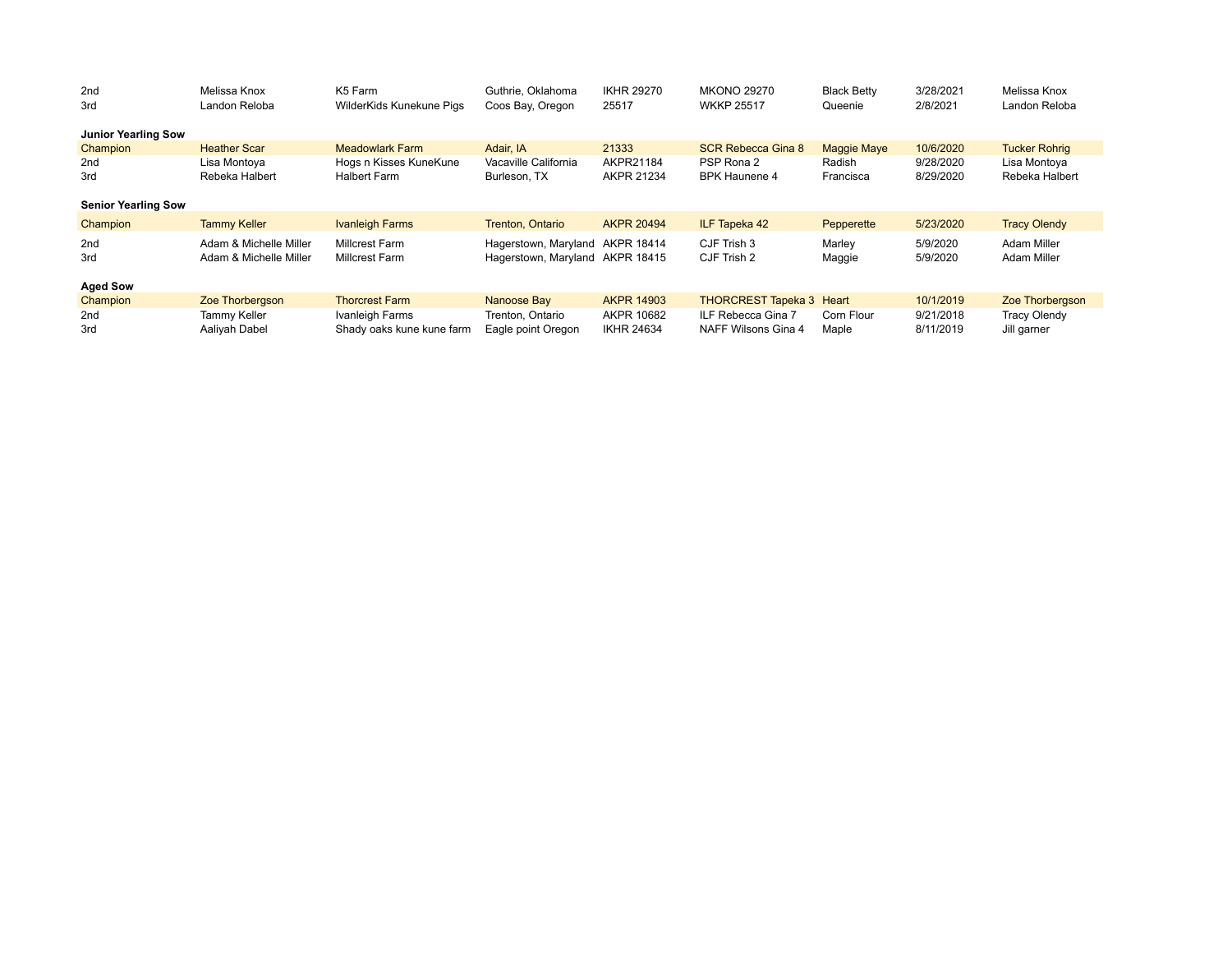| 2nd<br>3rd                 | Melissa Knox<br>Landon Reloba | K <sub>5</sub> Farm       | Guthrie, Oklahoma               | <b>IKHR 29270</b><br>25517 | <b>MKONO 29270</b><br><b>WKKP 25517</b> | <b>Black Betty</b> | 3/28/2021<br>2/8/2021 | Melissa Knox<br>Landon Reloba |
|----------------------------|-------------------------------|---------------------------|---------------------------------|----------------------------|-----------------------------------------|--------------------|-----------------------|-------------------------------|
|                            |                               | WilderKids Kunekune Pigs  | Coos Bay, Oregon                |                            |                                         | Queenie            |                       |                               |
| <b>Junior Yearling Sow</b> |                               |                           |                                 |                            |                                         |                    |                       |                               |
| Champion                   | <b>Heather Scar</b>           | <b>Meadowlark Farm</b>    | Adair. IA                       | 21333                      | <b>SCR Rebecca Gina 8</b>               | <b>Maggie Maye</b> | 10/6/2020             | <b>Tucker Rohrig</b>          |
| 2nd                        | Lisa Montoya                  | Hogs n Kisses KuneKune    | Vacaville California            | AKPR21184                  | PSP Rona 2                              | Radish             | 9/28/2020             | Lisa Montoya                  |
| 3rd                        | Rebeka Halbert                | <b>Halbert Farm</b>       | Burleson, TX                    | AKPR 21234                 | <b>BPK Haunene 4</b>                    | Francisca          | 8/29/2020             | Rebeka Halbert                |
|                            |                               |                           |                                 |                            |                                         |                    |                       |                               |
| <b>Senior Yearling Sow</b> |                               |                           |                                 |                            |                                         |                    |                       |                               |
| Champion                   | <b>Tammy Keller</b>           | <b>Ivanleigh Farms</b>    | Trenton, Ontario                | <b>AKPR 20494</b>          | ILF Tapeka 42                           | Pepperette         | 5/23/2020             | <b>Tracy Olendy</b>           |
| 2nd                        | Adam & Michelle Miller        | <b>Millcrest Farm</b>     | Hagerstown, Maryland AKPR 18414 |                            | CJF Trish 3                             | Marley             | 5/9/2020              | Adam Miller                   |
| 3rd                        | Adam & Michelle Miller        | <b>Millcrest Farm</b>     | Hagerstown, Maryland AKPR 18415 |                            | CJF Trish 2                             | Maggie             | 5/9/2020              | Adam Miller                   |
|                            |                               |                           |                                 |                            |                                         |                    |                       |                               |
| <b>Aged Sow</b>            |                               |                           |                                 |                            |                                         |                    |                       |                               |
| Champion                   | Zoe Thorbergson               | <b>Thorcrest Farm</b>     | Nanoose Bay                     | <b>AKPR 14903</b>          | <b>THORCREST Tapeka 3 Heart</b>         |                    | 10/1/2019             | Zoe Thorbergson               |
| 2nd                        | <b>Tammy Keller</b>           | Ivanleigh Farms           | Trenton, Ontario                | AKPR 10682                 | ILF Rebecca Gina 7                      | Corn Flour         | 9/21/2018             | <b>Tracy Olendy</b>           |
| 3rd                        | Aaliyah Dabel                 | Shady oaks kune kune farm | Eagle point Oregon              | <b>IKHR 24634</b>          | NAFF Wilsons Gina 4                     | Maple              | 8/11/2019             | Jill garner                   |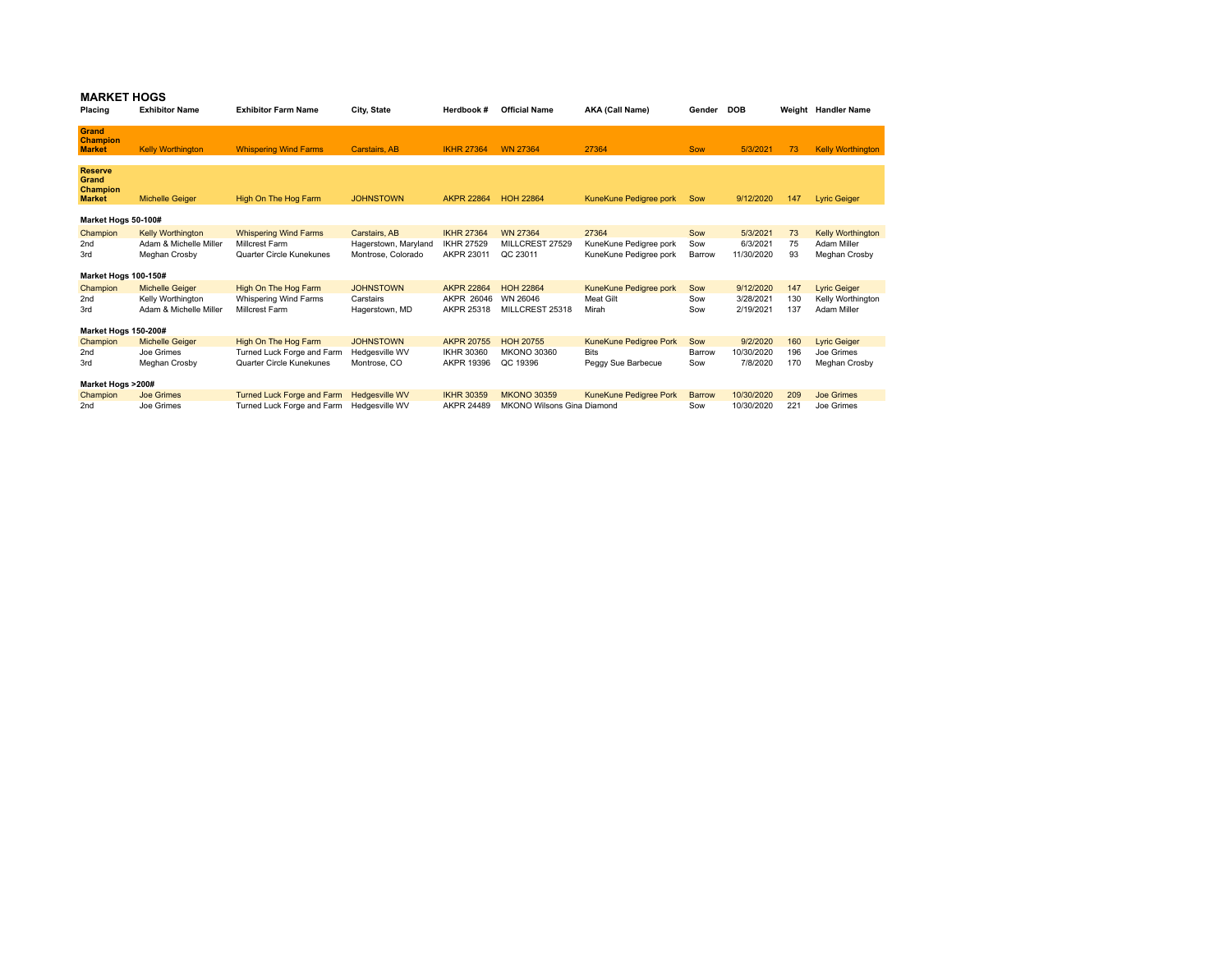## **MARKET HOGS**

| Placing                                              | <b>Exhibitor Name</b>                                               | <b>Exhibitor Farm Name</b>                                                 | City, State                                                 | Herdbook #                                           | <b>Official Name</b>                           | AKA (Call Name)                                           | Gender               | <b>DOB</b>                         |                | Weight Handler Name                                      |
|------------------------------------------------------|---------------------------------------------------------------------|----------------------------------------------------------------------------|-------------------------------------------------------------|------------------------------------------------------|------------------------------------------------|-----------------------------------------------------------|----------------------|------------------------------------|----------------|----------------------------------------------------------|
| <b>Grand</b><br><b>Champion</b><br><b>Market</b>     | <b>Kelly Worthington</b>                                            | <b>Whispering Wind Farms</b>                                               | Carstairs, AB                                               | <b>IKHR 27364</b>                                    | <b>WN 27364</b>                                | 27364                                                     | <b>Sow</b>           | 5/3/2021                           | 73             | <b>Kelly Worthington</b>                                 |
| <b>Reserve</b><br>Grand<br>Champion<br><b>Market</b> | <b>Michelle Geiger</b>                                              | High On The Hog Farm                                                       | <b>JOHNSTOWN</b>                                            | <b>AKPR 22864</b>                                    | <b>HOH 22864</b>                               | KuneKune Pedigree pork                                    | Sow                  | 9/12/2020                          | 147            | <b>Lyric Geiger</b>                                      |
| Market Hogs 50-100#                                  |                                                                     |                                                                            |                                                             |                                                      |                                                |                                                           |                      |                                    |                |                                                          |
| Champion<br>2 <sub>nd</sub><br>3rd                   | <b>Kelly Worthington</b><br>Adam & Michelle Miller<br>Meghan Crosby | <b>Whispering Wind Farms</b><br>Millcrest Farm<br>Quarter Circle Kunekunes | Carstairs, AB<br>Hagerstown, Maryland<br>Montrose, Colorado | <b>IKHR 27364</b><br><b>IKHR 27529</b><br>AKPR 23011 | <b>WN 27364</b><br>MILLCREST 27529<br>QC 23011 | 27364<br>KuneKune Pedigree pork<br>KuneKune Pedigree pork | Sow<br>Sow<br>Barrow | 5/3/2021<br>6/3/2021<br>11/30/2020 | 73<br>75<br>93 | <b>Kelly Worthington</b><br>Adam Miller<br>Meghan Crosby |
| Market Hogs 100-150#                                 |                                                                     |                                                                            |                                                             |                                                      |                                                |                                                           |                      |                                    |                |                                                          |
| Champion                                             | <b>Michelle Geiger</b>                                              | High On The Hog Farm                                                       | <b>JOHNSTOWN</b>                                            | <b>AKPR 22864</b>                                    | <b>HOH 22864</b>                               | KuneKune Pedigree pork                                    | Sow                  | 9/12/2020                          | 147            | <b>Lyric Geiger</b>                                      |
| 2 <sub>nd</sub><br>3rd                               | Kelly Worthington<br>Adam & Michelle Miller                         | Whispering Wind Farms<br>Millcrest Farm                                    | Carstairs<br>Hagerstown, MD                                 | AKPR 26046<br>AKPR 25318                             | WN 26046<br>MILLCREST 25318                    | <b>Meat Gilt</b><br>Mirah                                 | Sow<br>Sow           | 3/28/2021<br>2/19/2021             | 130<br>137     | Kelly Worthington<br>Adam Miller                         |
| Market Hogs 150-200#                                 |                                                                     |                                                                            |                                                             |                                                      |                                                |                                                           |                      |                                    |                |                                                          |
| Champion                                             | <b>Michelle Geiger</b>                                              | High On The Hog Farm                                                       | <b>JOHNSTOWN</b>                                            | <b>AKPR 20755</b>                                    | <b>HOH 20755</b>                               | KuneKune Pedigree Pork                                    | Sow                  | 9/2/2020                           | 160            | <b>Lyric Geiger</b>                                      |
| 2 <sub>nd</sub><br>3rd                               | Joe Grimes<br>Meghan Crosby                                         | Turned Luck Forge and Farm<br>Quarter Circle Kunekunes                     | Hedgesville WV<br>Montrose, CO                              | <b>IKHR 30360</b><br>AKPR 19396                      | <b>MKONO 30360</b><br>QC 19396                 | <b>Bits</b><br>Peggy Sue Barbecue                         | Barrow<br>Sow        | 10/30/2020<br>7/8/2020             | 196<br>170     | Joe Grimes<br>Meghan Crosby                              |
| Market Hogs >200#                                    |                                                                     |                                                                            |                                                             |                                                      |                                                |                                                           |                      |                                    |                |                                                          |
| Champion                                             | <b>Joe Grimes</b>                                                   | Turned Luck Forge and Farm                                                 | <b>Hedgesville WV</b>                                       | <b>IKHR 30359</b>                                    | <b>MKONO 30359</b>                             | KuneKune Pedigree Pork                                    | <b>Barrow</b>        | 10/30/2020                         | 209            | <b>Joe Grimes</b>                                        |
| 2 <sub>nd</sub>                                      | Joe Grimes                                                          | Turned Luck Forge and Farm                                                 | Hedgesville WV                                              | <b>AKPR 24489</b>                                    | <b>MKONO Wilsons Gina Diamond</b>              |                                                           | Sow                  | 10/30/2020                         | 221            | Joe Grimes                                               |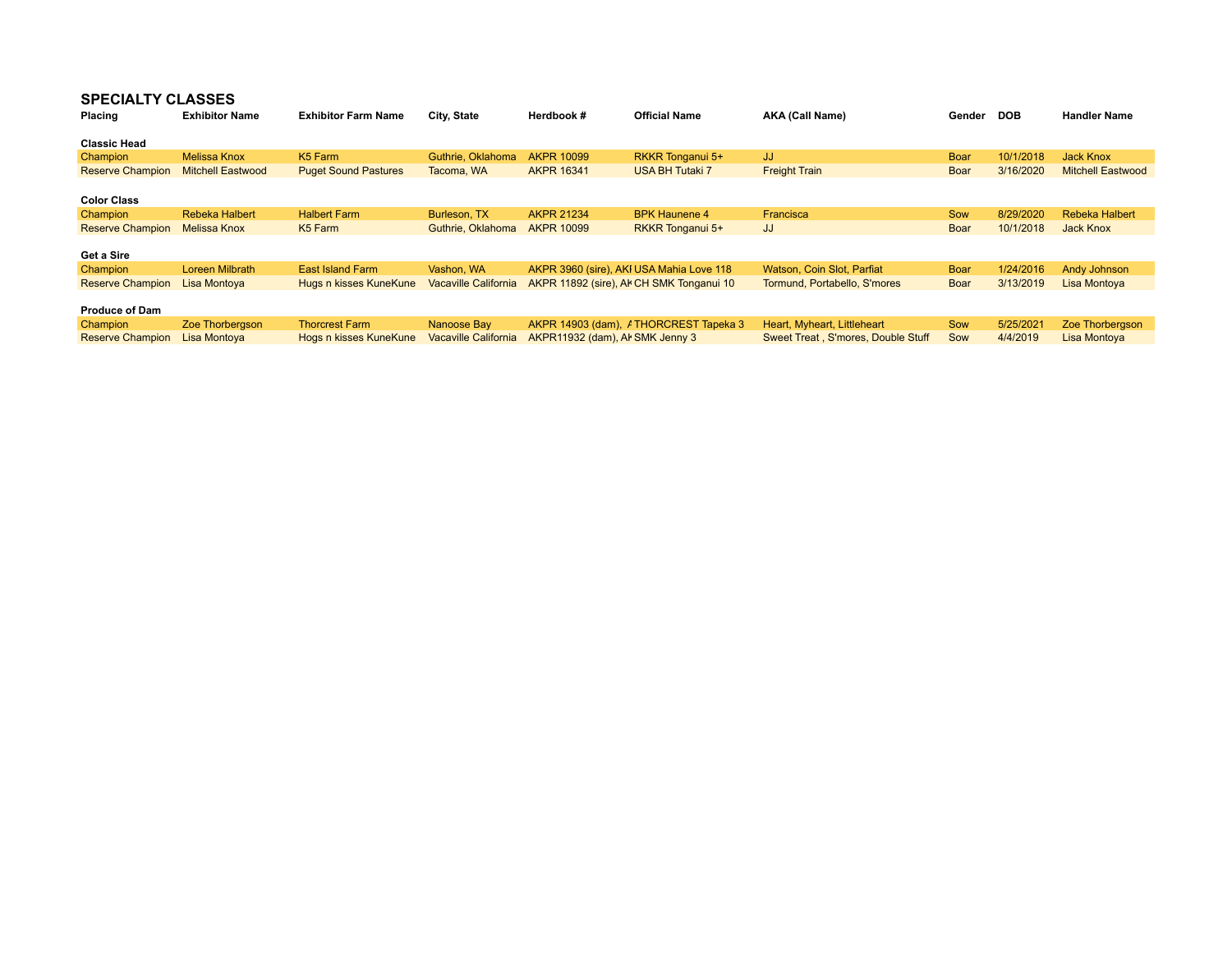## **SPECIALTY CLASSES**

| <b>Placing</b>          | <b>Exhibitor Name</b>    | <b>Exhibitor Farm Name</b>  | City, State                 | Herdbook #                      | <b>Official Name</b>                     | <b>AKA (Call Name)</b>              | Gender | <b>DOB</b> | <b>Handler Name</b>      |
|-------------------------|--------------------------|-----------------------------|-----------------------------|---------------------------------|------------------------------------------|-------------------------------------|--------|------------|--------------------------|
| <b>Classic Head</b>     |                          |                             |                             |                                 |                                          |                                     |        |            |                          |
| Champion                | <b>Melissa Knox</b>      | K <sub>5</sub> Farm         | Guthrie, Oklahoma           | <b>AKPR 10099</b>               | RKKR Tonganui 5+                         | JJ.                                 | Boar   | 10/1/2018  | Jack Knox                |
| <b>Reserve Champion</b> | <b>Mitchell Eastwood</b> | <b>Puget Sound Pastures</b> | Tacoma, WA                  | <b>AKPR 16341</b>               | <b>USA BH Tutaki 7</b>                   | <b>Freight Train</b>                | Boar   | 3/16/2020  | <b>Mitchell Eastwood</b> |
|                         |                          |                             |                             |                                 |                                          |                                     |        |            |                          |
| <b>Color Class</b>      |                          |                             |                             |                                 |                                          |                                     |        |            |                          |
| Champion                | <b>Rebeka Halbert</b>    | <b>Halbert Farm</b>         | Burleson, TX                | <b>AKPR 21234</b>               | <b>BPK Haunene 4</b>                     | Francisca                           | Sow    | 8/29/2020  | <b>Rebeka Halbert</b>    |
| <b>Reserve Champion</b> | Melissa Knox             | K <sub>5</sub> Farm         | Guthrie, Oklahoma           | <b>AKPR 10099</b>               | RKKR Tonganui 5+                         | JJ                                  | Boar   | 10/1/2018  | Jack Knox                |
|                         |                          |                             |                             |                                 |                                          |                                     |        |            |                          |
| Get a Sire              |                          |                             |                             |                                 |                                          |                                     |        |            |                          |
| Champion                | Loreen Milbrath          | East Island Farm            | Vashon, WA                  |                                 | AKPR 3960 (sire), AKI USA Mahia Love 118 | Watson, Coin Slot, Parfiat          | Boar   | 1/24/2016  | <b>Andy Johnson</b>      |
| <b>Reserve Champion</b> | Lisa Montoya             | Hugs n kisses KuneKune      | <b>Vacaville California</b> |                                 | AKPR 11892 (sire), Al CH SMK Tonganui 10 | Tormund, Portabello, S'mores        | Boar   | 3/13/2019  | Lisa Montoya             |
|                         |                          |                             |                             |                                 |                                          |                                     |        |            |                          |
| <b>Produce of Dam</b>   |                          |                             |                             |                                 |                                          |                                     |        |            |                          |
| <b>Champion</b>         | Zoe Thorbergson          | <b>Thorcrest Farm</b>       | Nanoose Bay                 |                                 | AKPR 14903 (dam), / THORCREST Tapeka 3   | Heart, Myheart, Littleheart         | Sow    | 5/25/2021  | Zoe Thorbergson          |
| <b>Reserve Champion</b> | Lisa Montova             | Hogs n kisses KuneKune      | <b>Vacaville California</b> | AKPR11932 (dam), Al SMK Jenny 3 |                                          | Sweet Treat . S'mores. Double Stuff | Sow    | 4/4/2019   | Lisa Montoya             |